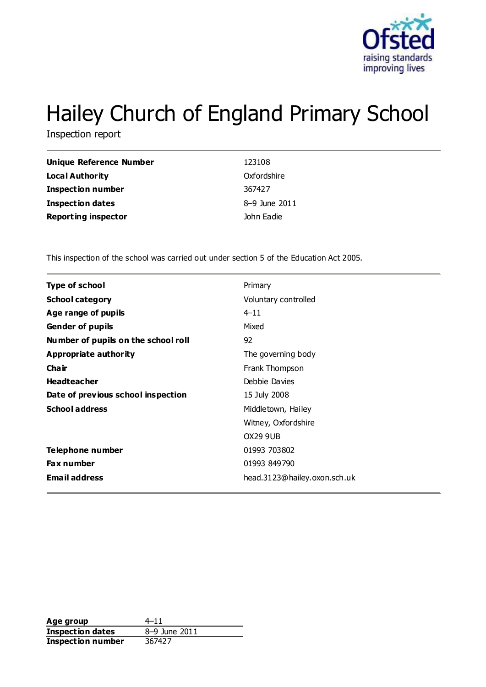

# Hailey Church of England Primary School

Inspection report

| Unique Reference Number    | 123108        |
|----------------------------|---------------|
| <b>Local Authority</b>     | Oxfordshire   |
| <b>Inspection number</b>   | 367427        |
| <b>Inspection dates</b>    | 8-9 June 2011 |
| <b>Reporting inspector</b> | John Eadie    |

This inspection of the school was carried out under section 5 of the Education Act 2005.

| <b>Type of school</b>               | Primary                      |
|-------------------------------------|------------------------------|
| <b>School category</b>              | Voluntary controlled         |
| Age range of pupils                 | $4 - 11$                     |
| <b>Gender of pupils</b>             | Mixed                        |
| Number of pupils on the school roll | 92                           |
| Appropriate authority               | The governing body           |
| Cha ir                              | Frank Thompson               |
| <b>Headteacher</b>                  | Debbie Davies                |
| Date of previous school inspection  | 15 July 2008                 |
| <b>School address</b>               | Middletown, Hailey           |
|                                     | Witney, Oxfordshire          |
|                                     | <b>OX29 9UB</b>              |
| Telephone number                    | 01993 703802                 |
| <b>Fax number</b>                   | 01993 849790                 |
| <b>Email address</b>                | head.3123@hailey.oxon.sch.uk |

**Age group** 4–11<br> **Inspection dates** 8–9 June 2011 **Inspection dates Inspection number** 367427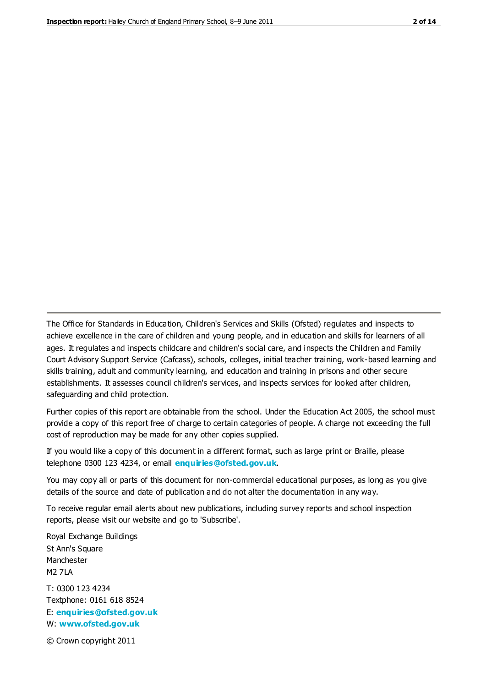The Office for Standards in Education, Children's Services and Skills (Ofsted) regulates and inspects to achieve excellence in the care of children and young people, and in education and skills for learners of all ages. It regulates and inspects childcare and children's social care, and inspects the Children and Family Court Advisory Support Service (Cafcass), schools, colleges, initial teacher training, work-based learning and skills training, adult and community learning, and education and training in prisons and other secure establishments. It assesses council children's services, and inspects services for looked after children, safeguarding and child protection.

Further copies of this report are obtainable from the school. Under the Education Act 2005, the school must provide a copy of this report free of charge to certain categories of people. A charge not exceeding the full cost of reproduction may be made for any other copies supplied.

If you would like a copy of this document in a different format, such as large print or Braille, please telephone 0300 123 4234, or email **[enquiries@ofsted.gov.uk](mailto:enquiries@ofsted.gov.uk)**.

You may copy all or parts of this document for non-commercial educational purposes, as long as you give details of the source and date of publication and do not alter the documentation in any way.

To receive regular email alerts about new publications, including survey reports and school inspection reports, please visit our website and go to 'Subscribe'.

Royal Exchange Buildings St Ann's Square Manchester M2 7LA T: 0300 123 4234 Textphone: 0161 618 8524 E: **[enquiries@ofsted.gov.uk](mailto:enquiries@ofsted.gov.uk)**

W: **[www.ofsted.gov.uk](http://www.ofsted.gov.uk/)**

© Crown copyright 2011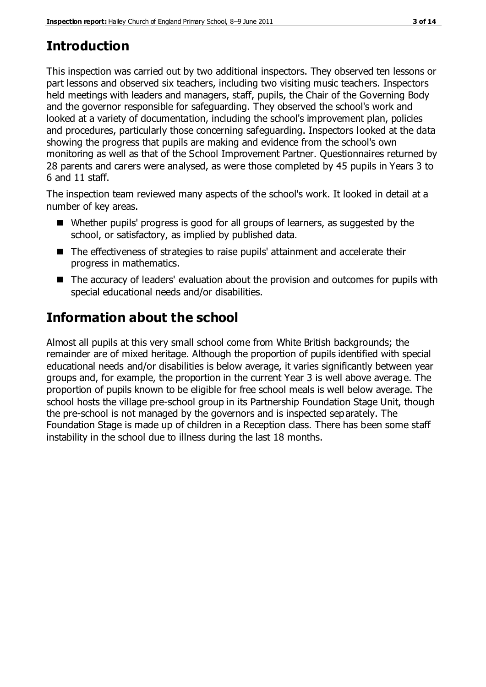# **Introduction**

This inspection was carried out by two additional inspectors. They observed ten lessons or part lessons and observed six teachers, including two visiting music teachers. Inspectors held meetings with leaders and managers, staff, pupils, the Chair of the Governing Body and the governor responsible for safeguarding. They observed the school's work and looked at a variety of documentation, including the school's improvement plan, policies and procedures, particularly those concerning safeguarding. Inspectors looked at the data showing the progress that pupils are making and evidence from the school's own monitoring as well as that of the School Improvement Partner. Questionnaires returned by 28 parents and carers were analysed, as were those completed by 45 pupils in Years 3 to 6 and 11 staff.

The inspection team reviewed many aspects of the school's work. It looked in detail at a number of key areas.

- Whether pupils' progress is good for all groups of learners, as suggested by the school, or satisfactory, as implied by published data.
- The effectiveness of strategies to raise pupils' attainment and accelerate their progress in mathematics.
- The accuracy of leaders' evaluation about the provision and outcomes for pupils with special educational needs and/or disabilities.

# **Information about the school**

Almost all pupils at this very small school come from White British backgrounds; the remainder are of mixed heritage. Although the proportion of pupils identified with special educational needs and/or disabilities is below average, it varies significantly between year groups and, for example, the proportion in the current Year 3 is well above average. The proportion of pupils known to be eligible for free school meals is well below average. The school hosts the village pre-school group in its Partnership Foundation Stage Unit, though the pre-school is not managed by the governors and is inspected separately. The Foundation Stage is made up of children in a Reception class. There has been some staff instability in the school due to illness during the last 18 months.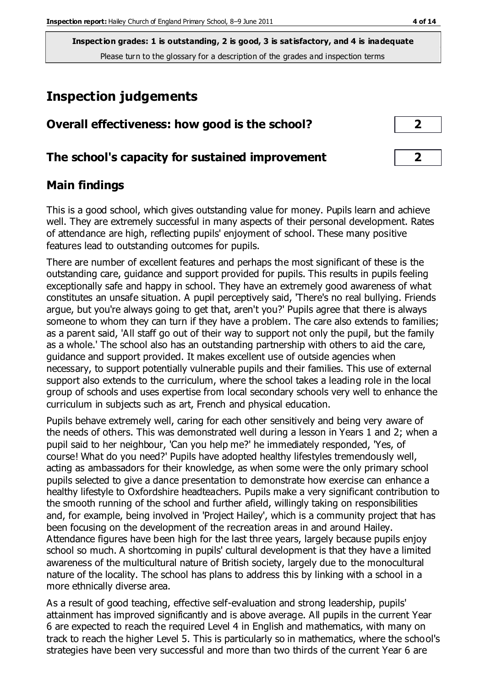# **Inspection judgements**

| Overall effectiveness: how good is the school? |  |
|------------------------------------------------|--|
|------------------------------------------------|--|

## **The school's capacity for sustained improvement 2**

## **Main findings**

This is a good school, which gives outstanding value for money. Pupils learn and achieve well. They are extremely successful in many aspects of their personal development. Rates of attendance are high, reflecting pupils' enjoyment of school. These many positive features lead to outstanding outcomes for pupils.

There are number of excellent features and perhaps the most significant of these is the outstanding care, guidance and support provided for pupils. This results in pupils feeling exceptionally safe and happy in school. They have an extremely good awareness of what constitutes an unsafe situation. A pupil perceptively said, 'There's no real bullying. Friends argue, but you're always going to get that, aren't you?' Pupils agree that there is always someone to whom they can turn if they have a problem. The care also extends to families; as a parent said, 'All staff go out of their way to support not only the pupil, but the family as a whole.' The school also has an outstanding partnership with others to aid the care, guidance and support provided. It makes excellent use of outside agencies when necessary, to support potentially vulnerable pupils and their families. This use of external support also extends to the curriculum, where the school takes a leading role in the local group of schools and uses expertise from local secondary schools very well to enhance the curriculum in subjects such as art, French and physical education.

Pupils behave extremely well, caring for each other sensitively and being very aware of the needs of others. This was demonstrated well during a lesson in Years 1 and 2; when a pupil said to her neighbour, 'Can you help me?' he immediately responded, 'Yes, of course! What do you need?' Pupils have adopted healthy lifestyles tremendously well, acting as ambassadors for their knowledge, as when some were the only primary school pupils selected to give a dance presentation to demonstrate how exercise can enhance a healthy lifestyle to Oxfordshire headteachers. Pupils make a very significant contribution to the smooth running of the school and further afield, willingly taking on responsibilities and, for example, being involved in 'Project Hailey', which is a community project that has been focusing on the development of the recreation areas in and around Hailey. Attendance figures have been high for the last three years, largely because pupils enjoy school so much. A shortcoming in pupils' cultural development is that they have a limited awareness of the multicultural nature of British society, largely due to the monocultural nature of the locality. The school has plans to address this by linking with a school in a more ethnically diverse area.

As a result of good teaching, effective self-evaluation and strong leadership, pupils' attainment has improved significantly and is above average. All pupils in the current Year 6 are expected to reach the required Level 4 in English and mathematics, with many on track to reach the higher Level 5. This is particularly so in mathematics, where the school's strategies have been very successful and more than two thirds of the current Year 6 are

| 2 |  |
|---|--|
|   |  |
|   |  |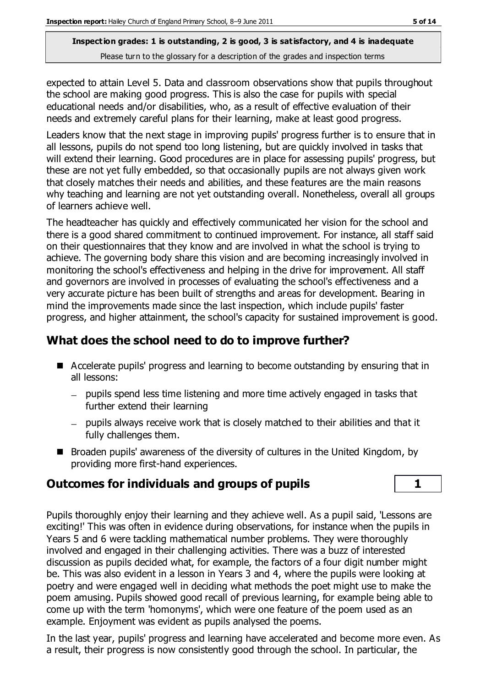expected to attain Level 5. Data and classroom observations show that pupils throughout the school are making good progress. This is also the case for pupils with special educational needs and/or disabilities, who, as a result of effective evaluation of their needs and extremely careful plans for their learning, make at least good progress.

Leaders know that the next stage in improving pupils' progress further is to ensure that in all lessons, pupils do not spend too long listening, but are quickly involved in tasks that will extend their learning. Good procedures are in place for assessing pupils' progress, but these are not yet fully embedded, so that occasionally pupils are not always given work that closely matches their needs and abilities, and these features are the main reasons why teaching and learning are not yet outstanding overall. Nonetheless, overall all groups of learners achieve well.

The headteacher has quickly and effectively communicated her vision for the school and there is a good shared commitment to continued improvement. For instance, all staff said on their questionnaires that they know and are involved in what the school is trying to achieve. The governing body share this vision and are becoming increasingly involved in monitoring the school's effectiveness and helping in the drive for improvement. All staff and governors are involved in processes of evaluating the school's effectiveness and a very accurate picture has been built of strengths and areas for development. Bearing in mind the improvements made since the last inspection, which include pupils' faster progress, and higher attainment, the school's capacity for sustained improvement is good.

#### **What does the school need to do to improve further?**

- Accelerate pupils' progress and learning to become outstanding by ensuring that in all lessons:
	- pupils spend less time listening and more time actively engaged in tasks that further extend their learning
	- pupils always receive work that is closely matched to their abilities and that it fully challenges them.
- Broaden pupils' awareness of the diversity of cultures in the United Kingdom, by providing more first-hand experiences.

# **Outcomes for individuals and groups of pupils 1**

Pupils thoroughly enjoy their learning and they achieve well. As a pupil said, 'Lessons are exciting!' This was often in evidence during observations, for instance when the pupils in Years 5 and 6 were tackling mathematical number problems. They were thoroughly involved and engaged in their challenging activities. There was a buzz of interested discussion as pupils decided what, for example, the factors of a four digit number might be. This was also evident in a lesson in Years 3 and 4, where the pupils were looking at poetry and were engaged well in deciding what methods the poet might use to make the poem amusing. Pupils showed good recall of previous learning, for example being able to come up with the term 'homonyms', which were one feature of the poem used as an example. Enjoyment was evident as pupils analysed the poems.

In the last year, pupils' progress and learning have accelerated and become more even. As a result, their progress is now consistently good through the school. In particular, the

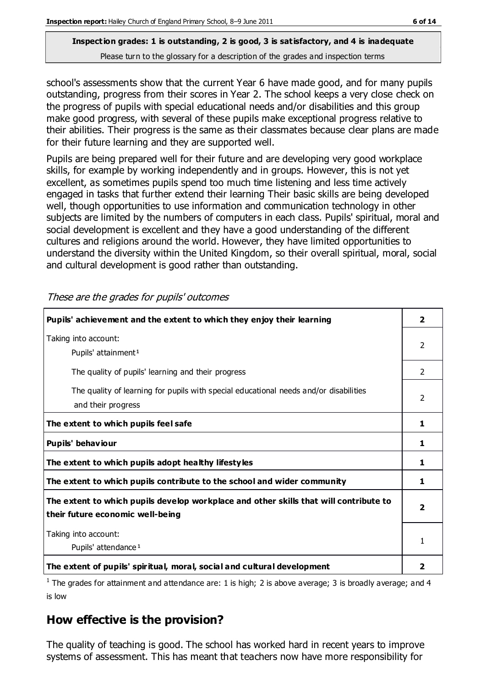school's assessments show that the current Year 6 have made good, and for many pupils outstanding, progress from their scores in Year 2. The school keeps a very close check on the progress of pupils with special educational needs and/or disabilities and this group make good progress, with several of these pupils make exceptional progress relative to their abilities. Their progress is the same as their classmates because clear plans are made for their future learning and they are supported well.

Pupils are being prepared well for their future and are developing very good workplace skills, for example by working independently and in groups. However, this is not yet excellent, as sometimes pupils spend too much time listening and less time actively engaged in tasks that further extend their learning Their basic skills are being developed well, though opportunities to use information and communication technology in other subjects are limited by the numbers of computers in each class. Pupils' spiritual, moral and social development is excellent and they have a good understanding of the different cultures and religions around the world. However, they have limited opportunities to understand the diversity within the United Kingdom, so their overall spiritual, moral, social and cultural development is good rather than outstanding.

| Pupils' achievement and the extent to which they enjoy their learning                                                     | $\overline{\mathbf{2}}$ |
|---------------------------------------------------------------------------------------------------------------------------|-------------------------|
| Taking into account:<br>Pupils' attainment <sup>1</sup>                                                                   | 2                       |
| The quality of pupils' learning and their progress                                                                        | 2                       |
| The quality of learning for pupils with special educational needs and/or disabilities<br>and their progress               | 2                       |
| The extent to which pupils feel safe                                                                                      | 1                       |
| Pupils' behaviour                                                                                                         | 1                       |
| The extent to which pupils adopt healthy lifestyles                                                                       | 1                       |
| The extent to which pupils contribute to the school and wider community                                                   | 1                       |
| The extent to which pupils develop workplace and other skills that will contribute to<br>their future economic well-being | $\overline{\mathbf{2}}$ |
| Taking into account:<br>Pupils' attendance <sup>1</sup>                                                                   | 1                       |
| The extent of pupils' spiritual, moral, social and cultural development                                                   | 2                       |

These are the grades for pupils' outcomes

<sup>1</sup> The grades for attainment and attendance are: 1 is high; 2 is above average; 3 is broadly average; and 4 is low

# **How effective is the provision?**

The quality of teaching is good. The school has worked hard in recent years to improve systems of assessment. This has meant that teachers now have more responsibility for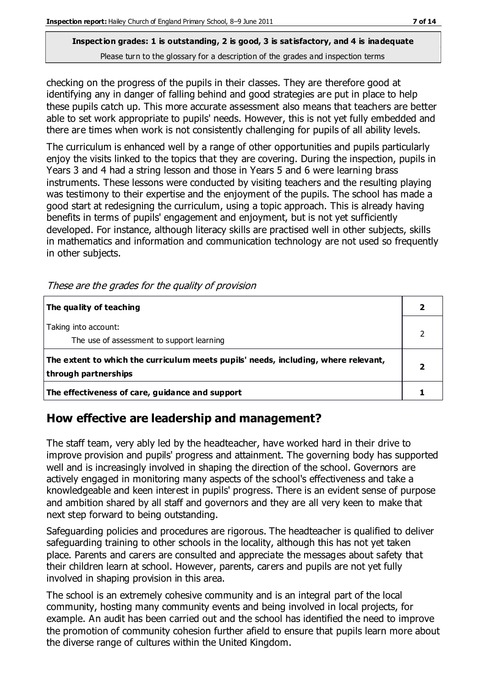checking on the progress of the pupils in their classes. They are therefore good at identifying any in danger of falling behind and good strategies are put in place to help these pupils catch up. This more accurate assessment also means that teachers are better able to set work appropriate to pupils' needs. However, this is not yet fully embedded and there are times when work is not consistently challenging for pupils of all ability levels.

The curriculum is enhanced well by a range of other opportunities and pupils particularly enjoy the visits linked to the topics that they are covering. During the inspection, pupils in Years 3 and 4 had a string lesson and those in Years 5 and 6 were learning brass instruments. These lessons were conducted by visiting teachers and the resulting playing was testimony to their expertise and the enjoyment of the pupils. The school has made a good start at redesigning the curriculum, using a topic approach. This is already having benefits in terms of pupils' engagement and enjoyment, but is not yet sufficiently developed. For instance, although literacy skills are practised well in other subjects, skills in mathematics and information and communication technology are not used so frequently in other subjects.

| The quality of teaching                                                                                    |  |
|------------------------------------------------------------------------------------------------------------|--|
| Taking into account:<br>The use of assessment to support learning                                          |  |
| The extent to which the curriculum meets pupils' needs, including, where relevant,<br>through partnerships |  |
| The effectiveness of care, guidance and support                                                            |  |

These are the grades for the quality of provision

# **How effective are leadership and management?**

The staff team, very ably led by the headteacher, have worked hard in their drive to improve provision and pupils' progress and attainment. The governing body has supported well and is increasingly involved in shaping the direction of the school. Governors are actively engaged in monitoring many aspects of the school's effectiveness and take a knowledgeable and keen interest in pupils' progress. There is an evident sense of purpose and ambition shared by all staff and governors and they are all very keen to make that next step forward to being outstanding.

Safeguarding policies and procedures are rigorous. The headteacher is qualified to deliver safeguarding training to other schools in the locality, although this has not yet taken place. Parents and carers are consulted and appreciate the messages about safety that their children learn at school. However, parents, carers and pupils are not yet fully involved in shaping provision in this area.

The school is an extremely cohesive community and is an integral part of the local community, hosting many community events and being involved in local projects, for example. An audit has been carried out and the school has identified the need to improve the promotion of community cohesion further afield to ensure that pupils learn more about the diverse range of cultures within the United Kingdom.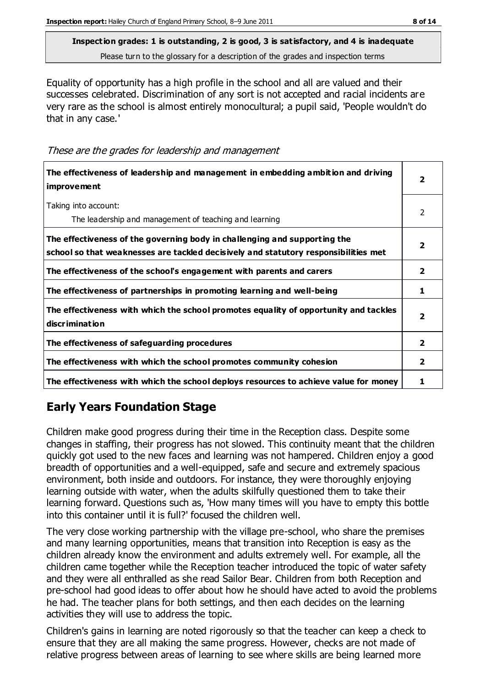Equality of opportunity has a high profile in the school and all are valued and their successes celebrated. Discrimination of any sort is not accepted and racial incidents are very rare as the school is almost entirely monocultural; a pupil said, 'People wouldn't do that in any case.'

These are the grades for leadership and management

| The effectiveness of leadership and management in embedding ambition and driving<br><i>improvement</i>                                                           | 2              |
|------------------------------------------------------------------------------------------------------------------------------------------------------------------|----------------|
| Taking into account:<br>The leadership and management of teaching and learning                                                                                   | $\mathcal{P}$  |
| The effectiveness of the governing body in challenging and supporting the<br>school so that weaknesses are tackled decisively and statutory responsibilities met | 2              |
| The effectiveness of the school's engagement with parents and carers                                                                                             | $\overline{2}$ |
| The effectiveness of partnerships in promoting learning and well-being                                                                                           | 1              |
| The effectiveness with which the school promotes equality of opportunity and tackles<br>discrimination                                                           | 2              |
| The effectiveness of safeguarding procedures                                                                                                                     | $\overline{2}$ |
| The effectiveness with which the school promotes community cohesion                                                                                              | $\overline{2}$ |
| The effectiveness with which the school deploys resources to achieve value for money                                                                             |                |

# **Early Years Foundation Stage**

Children make good progress during their time in the Reception class. Despite some changes in staffing, their progress has not slowed. This continuity meant that the children quickly got used to the new faces and learning was not hampered. Children enjoy a good breadth of opportunities and a well-equipped, safe and secure and extremely spacious environment, both inside and outdoors. For instance, they were thoroughly enjoying learning outside with water, when the adults skilfully questioned them to take their learning forward. Questions such as, 'How many times will you have to empty this bottle into this container until it is full?' focused the children well.

The very close working partnership with the village pre-school, who share the premises and many learning opportunities, means that transition into Reception is easy as the children already know the environment and adults extremely well. For example, all the children came together while the Reception teacher introduced the topic of water safety and they were all enthralled as she read Sailor Bear. Children from both Reception and pre-school had good ideas to offer about how he should have acted to avoid the problems he had. The teacher plans for both settings, and then each decides on the learning activities they will use to address the topic.

Children's gains in learning are noted rigorously so that the teacher can keep a check to ensure that they are all making the same progress. However, checks are not made of relative progress between areas of learning to see where skills are being learned more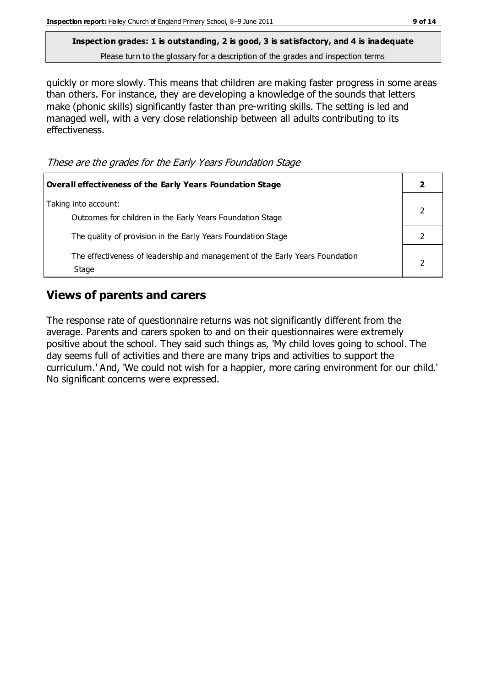quickly or more slowly. This means that children are making faster progress in some areas than others. For instance, they are developing a knowledge of the sounds that letters make (phonic skills) significantly faster than pre-writing skills. The setting is led and managed well, with a very close relationship between all adults contributing to its effectiveness.

These are the grades for the Early Years Foundation Stage

| <b>Overall effectiveness of the Early Years Foundation Stage</b>                      |  |
|---------------------------------------------------------------------------------------|--|
| Taking into account:<br>Outcomes for children in the Early Years Foundation Stage     |  |
| The quality of provision in the Early Years Foundation Stage                          |  |
| The effectiveness of leadership and management of the Early Years Foundation<br>Stage |  |

# **Views of parents and carers**

The response rate of questionnaire returns was not significantly different from the average. Parents and carers spoken to and on their questionnaires were extremely positive about the school. They said such things as, 'My child loves going to school. The day seems full of activities and there are many trips and activities to support the curriculum.' And, 'We could not wish for a happier, more caring environment for our child.' No significant concerns were expressed.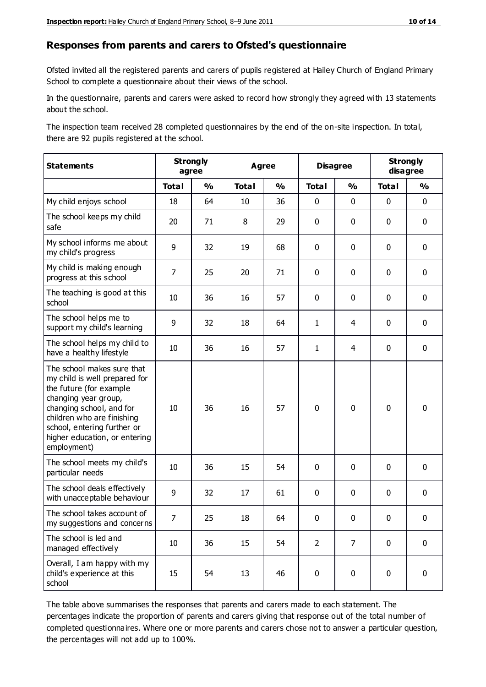#### **Responses from parents and carers to Ofsted's questionnaire**

Ofsted invited all the registered parents and carers of pupils registered at Hailey Church of England Primary School to complete a questionnaire about their views of the school.

In the questionnaire, parents and carers were asked to record how strongly they agreed with 13 statements about the school.

The inspection team received 28 completed questionnaires by the end of the on-site inspection. In total, there are 92 pupils registered at the school.

| <b>Statements</b>                                                                                                                                                                                                                                       | <b>Strongly</b><br>agree |               |              | <b>Agree</b>  |                | <b>Disagree</b> |              | <b>Strongly</b><br>disagree |  |
|---------------------------------------------------------------------------------------------------------------------------------------------------------------------------------------------------------------------------------------------------------|--------------------------|---------------|--------------|---------------|----------------|-----------------|--------------|-----------------------------|--|
|                                                                                                                                                                                                                                                         | <b>Total</b>             | $\frac{0}{0}$ | <b>Total</b> | $\frac{1}{2}$ | <b>Total</b>   | $\frac{1}{2}$   | <b>Total</b> | $\frac{1}{2}$               |  |
| My child enjoys school                                                                                                                                                                                                                                  | 18                       | 64            | 10           | 36            | 0              | 0               | $\mathbf 0$  | $\mathbf 0$                 |  |
| The school keeps my child<br>safe                                                                                                                                                                                                                       | 20                       | 71            | 8            | 29            | 0              | 0               | $\mathbf 0$  | $\mathbf 0$                 |  |
| My school informs me about<br>my child's progress                                                                                                                                                                                                       | 9                        | 32            | 19           | 68            | 0              | 0               | $\mathbf 0$  | $\mathbf 0$                 |  |
| My child is making enough<br>progress at this school                                                                                                                                                                                                    | $\overline{7}$           | 25            | 20           | 71            | 0              | 0               | $\mathbf 0$  | $\mathbf 0$                 |  |
| The teaching is good at this<br>school                                                                                                                                                                                                                  | 10                       | 36            | 16           | 57            | 0              | 0               | 0            | $\mathbf 0$                 |  |
| The school helps me to<br>support my child's learning                                                                                                                                                                                                   | 9                        | 32            | 18           | 64            | 1              | 4               | 0            | $\mathbf 0$                 |  |
| The school helps my child to<br>have a healthy lifestyle                                                                                                                                                                                                | 10                       | 36            | 16           | 57            | 1              | $\overline{4}$  | 0            | $\pmb{0}$                   |  |
| The school makes sure that<br>my child is well prepared for<br>the future (for example<br>changing year group,<br>changing school, and for<br>children who are finishing<br>school, entering further or<br>higher education, or entering<br>employment) | 10                       | 36            | 16           | 57            | $\mathbf 0$    | 0               | $\mathbf 0$  | $\mathbf 0$                 |  |
| The school meets my child's<br>particular needs                                                                                                                                                                                                         | 10                       | 36            | 15           | 54            | 0              | $\mathbf 0$     | $\mathbf 0$  | $\mathbf 0$                 |  |
| The school deals effectively<br>with unacceptable behaviour                                                                                                                                                                                             | 9                        | 32            | 17           | 61            | 0              | 0               | $\mathbf 0$  | $\pmb{0}$                   |  |
| The school takes account of<br>my suggestions and concerns                                                                                                                                                                                              | 7                        | 25            | 18           | 64            | $\mathbf{0}$   | $\mathbf 0$     | $\mathbf{0}$ | $\mathbf{0}$                |  |
| The school is led and<br>managed effectively                                                                                                                                                                                                            | 10                       | 36            | 15           | 54            | $\overline{2}$ | $\overline{7}$  | $\mathbf 0$  | $\mathbf 0$                 |  |
| Overall, I am happy with my<br>child's experience at this<br>school                                                                                                                                                                                     | 15                       | 54            | 13           | 46            | 0              | 0               | $\mathbf 0$  | $\pmb{0}$                   |  |

The table above summarises the responses that parents and carers made to each statement. The percentages indicate the proportion of parents and carers giving that response out of the total number of completed questionnaires. Where one or more parents and carers chose not to answer a particular question, the percentages will not add up to 100%.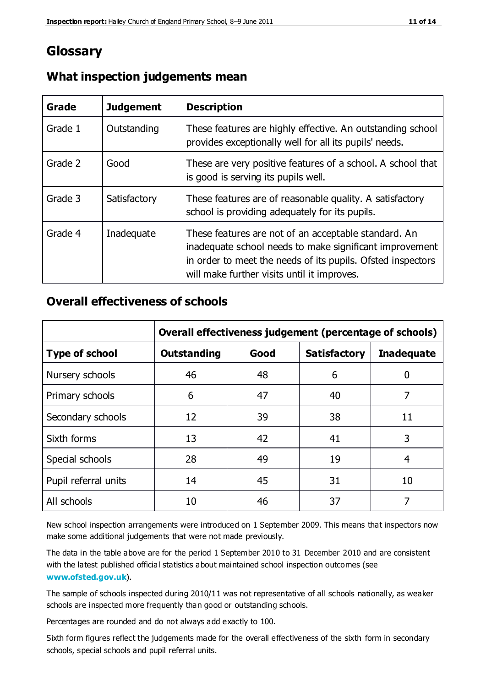# **Glossary**

| Grade   | <b>Judgement</b> | <b>Description</b>                                                                                                                                                                                                            |
|---------|------------------|-------------------------------------------------------------------------------------------------------------------------------------------------------------------------------------------------------------------------------|
| Grade 1 | Outstanding      | These features are highly effective. An outstanding school<br>provides exceptionally well for all its pupils' needs.                                                                                                          |
| Grade 2 | Good             | These are very positive features of a school. A school that<br>is good is serving its pupils well.                                                                                                                            |
| Grade 3 | Satisfactory     | These features are of reasonable quality. A satisfactory<br>school is providing adequately for its pupils.                                                                                                                    |
| Grade 4 | Inadequate       | These features are not of an acceptable standard. An<br>inadequate school needs to make significant improvement<br>in order to meet the needs of its pupils. Ofsted inspectors<br>will make further visits until it improves. |

## **What inspection judgements mean**

## **Overall effectiveness of schools**

|                       | Overall effectiveness judgement (percentage of schools) |      |                     |                   |
|-----------------------|---------------------------------------------------------|------|---------------------|-------------------|
| <b>Type of school</b> | <b>Outstanding</b>                                      | Good | <b>Satisfactory</b> | <b>Inadequate</b> |
| Nursery schools       | 46                                                      | 48   | 6                   |                   |
| Primary schools       | 6                                                       | 47   | 40                  | 7                 |
| Secondary schools     | 12                                                      | 39   | 38                  | 11                |
| Sixth forms           | 13                                                      | 42   | 41                  | 3                 |
| Special schools       | 28                                                      | 49   | 19                  | 4                 |
| Pupil referral units  | 14                                                      | 45   | 31                  | 10                |
| All schools           | 10                                                      | 46   | 37                  |                   |

New school inspection arrangements were introduced on 1 September 2009. This means that inspectors now make some additional judgements that were not made previously.

The data in the table above are for the period 1 September 2010 to 31 December 2010 and are consistent with the latest published official statistics about maintained school inspection outcomes (see **[www.ofsted.gov.uk](http://www.ofsted.gov.uk/)**).

The sample of schools inspected during 2010/11 was not representative of all schools nationally, as weaker schools are inspected more frequently than good or outstanding schools.

Percentages are rounded and do not always add exactly to 100.

Sixth form figures reflect the judgements made for the overall effectiveness of the sixth form in secondary schools, special schools and pupil referral units.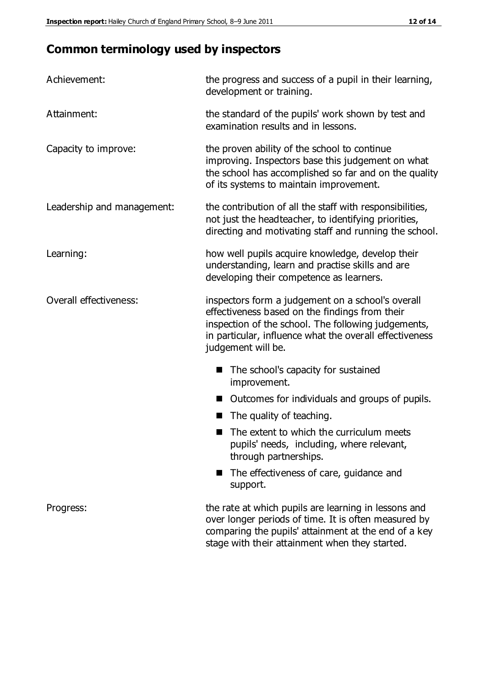# **Common terminology used by inspectors**

| Achievement:               | the progress and success of a pupil in their learning,<br>development or training.                                                                                                                                                          |
|----------------------------|---------------------------------------------------------------------------------------------------------------------------------------------------------------------------------------------------------------------------------------------|
| Attainment:                | the standard of the pupils' work shown by test and<br>examination results and in lessons.                                                                                                                                                   |
| Capacity to improve:       | the proven ability of the school to continue<br>improving. Inspectors base this judgement on what<br>the school has accomplished so far and on the quality<br>of its systems to maintain improvement.                                       |
| Leadership and management: | the contribution of all the staff with responsibilities,<br>not just the headteacher, to identifying priorities,<br>directing and motivating staff and running the school.                                                                  |
| Learning:                  | how well pupils acquire knowledge, develop their<br>understanding, learn and practise skills and are<br>developing their competence as learners.                                                                                            |
| Overall effectiveness:     | inspectors form a judgement on a school's overall<br>effectiveness based on the findings from their<br>inspection of the school. The following judgements,<br>in particular, influence what the overall effectiveness<br>judgement will be. |
|                            | The school's capacity for sustained<br>improvement.                                                                                                                                                                                         |
|                            | Outcomes for individuals and groups of pupils.                                                                                                                                                                                              |
|                            | The quality of teaching.                                                                                                                                                                                                                    |
|                            | The extent to which the curriculum meets<br>pupils' needs, including, where relevant,<br>through partnerships.                                                                                                                              |
|                            | The effectiveness of care, guidance and<br>support.                                                                                                                                                                                         |
| Progress:                  | the rate at which pupils are learning in lessons and<br>over longer periods of time. It is often measured by<br>comparing the pupils' attainment at the end of a key                                                                        |

stage with their attainment when they started.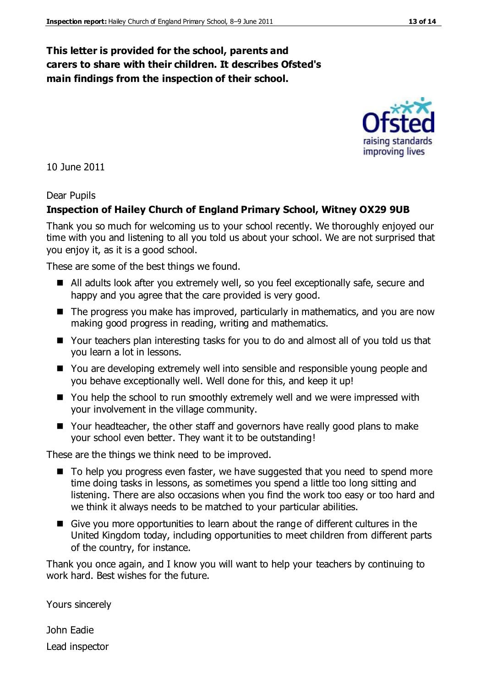#### **This letter is provided for the school, parents and carers to share with their children. It describes Ofsted's main findings from the inspection of their school.**

10 June 2011

#### Dear Pupils

#### **Inspection of Hailey Church of England Primary School, Witney OX29 9UB**

Thank you so much for welcoming us to your school recently. We thoroughly enjoyed our time with you and listening to all you told us about your school. We are not surprised that you enjoy it, as it is a good school.

These are some of the best things we found.

- All adults look after you extremely well, so you feel exceptionally safe, secure and happy and you agree that the care provided is very good.
- The progress you make has improved, particularly in mathematics, and you are now making good progress in reading, writing and mathematics.
- Your teachers plan interesting tasks for you to do and almost all of you told us that you learn a lot in lessons.
- You are developing extremely well into sensible and responsible young people and you behave exceptionally well. Well done for this, and keep it up!
- You help the school to run smoothly extremely well and we were impressed with your involvement in the village community.
- Your headteacher, the other staff and governors have really good plans to make your school even better. They want it to be outstanding!

These are the things we think need to be improved.

- To help you progress even faster, we have suggested that you need to spend more time doing tasks in lessons, as sometimes you spend a little too long sitting and listening. There are also occasions when you find the work too easy or too hard and we think it always needs to be matched to your particular abilities.
- Give you more opportunities to learn about the range of different cultures in the United Kingdom today, including opportunities to meet children from different parts of the country, for instance.

Thank you once again, and I know you will want to help your teachers by continuing to work hard. Best wishes for the future.

Yours sincerely

John Eadie Lead inspector